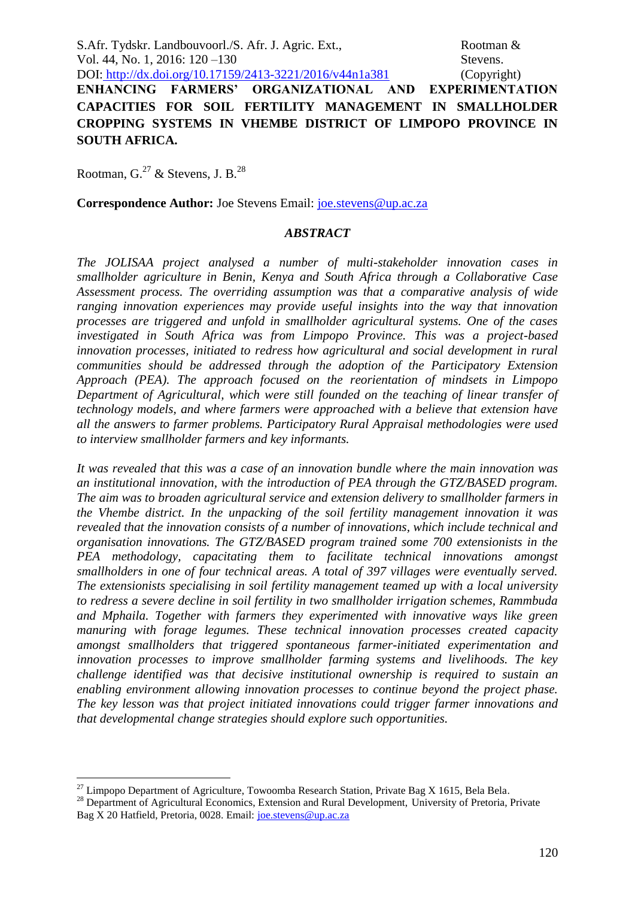S.Afr. Tydskr. Landbouvoorl./S. Afr. J. Agric. Ext., Rootman & Vol. 44, No. 1, 2016: 120 – 130 Stevens. DOI: http://dx.doi.org/10.17159/2413-3221/2016/v44n1a381 (Copyright)

**ENHANCING FARMERS' ORGANIZATIONAL AND EXPERIMENTATION CAPACITIES FOR SOIL FERTILITY MANAGEMENT IN SMALLHOLDER CROPPING SYSTEMS IN VHEMBE DISTRICT OF LIMPOPO PROVINCE IN SOUTH AFRICA.**

Rootman, G.<sup>27</sup> & Stevens, J. B.<sup>28</sup>

**Correspondence Author:** Joe Stevens Email: *joe.stevens@up.ac.za* 

#### *ABSTRACT*

*The JOLISAA project analysed a number of multi-stakeholder innovation cases in smallholder agriculture in Benin, Kenya and South Africa through a Collaborative Case Assessment process. The overriding assumption was that a comparative analysis of wide ranging innovation experiences may provide useful insights into the way that innovation processes are triggered and unfold in smallholder agricultural systems. One of the cases investigated in South Africa was from Limpopo Province. This was a project-based innovation processes, initiated to redress how agricultural and social development in rural communities should be addressed through the adoption of the Participatory Extension Approach (PEA). The approach focused on the reorientation of mindsets in Limpopo Department of Agricultural, which were still founded on the teaching of linear transfer of technology models, and where farmers were approached with a believe that extension have all the answers to farmer problems. Participatory Rural Appraisal methodologies were used to interview smallholder farmers and key informants.* 

*It was revealed that this was a case of an innovation bundle where the main innovation was an institutional innovation, with the introduction of PEA through the GTZ/BASED program. The aim was to broaden agricultural service and extension delivery to smallholder farmers in the Vhembe district. In the unpacking of the soil fertility management innovation it was revealed that the innovation consists of a number of innovations, which include technical and organisation innovations. The GTZ/BASED program trained some 700 extensionists in the PEA methodology, capacitating them to facilitate technical innovations amongst smallholders in one of four technical areas. A total of 397 villages were eventually served. The extensionists specialising in soil fertility management teamed up with a local university to redress a severe decline in soil fertility in two smallholder irrigation schemes, Rammbuda and Mphaila. Together with farmers they experimented with innovative ways like green manuring with forage legumes. These technical innovation processes created capacity amongst smallholders that triggered spontaneous farmer-initiated experimentation and innovation processes to improve smallholder farming systems and livelihoods. The key challenge identified was that decisive institutional ownership is required to sustain an enabling environment allowing innovation processes to continue beyond the project phase. The key lesson was that project initiated innovations could trigger farmer innovations and that developmental change strategies should explore such opportunities.* 

<sup>&</sup>lt;u>.</u>  $^{27}$  Limpopo Department of Agriculture, Towoomba Research Station, Private Bag X 1615, Bela Bela.

<sup>&</sup>lt;sup>28</sup> Department of Agricultural Economics, Extension and Rural Development, University of Pretoria, Private Bag X 20 Hatfield, Pretoria, 0028. Email: [joe.stevens@up.ac.za](mailto:joe.stevens@up.ac.za)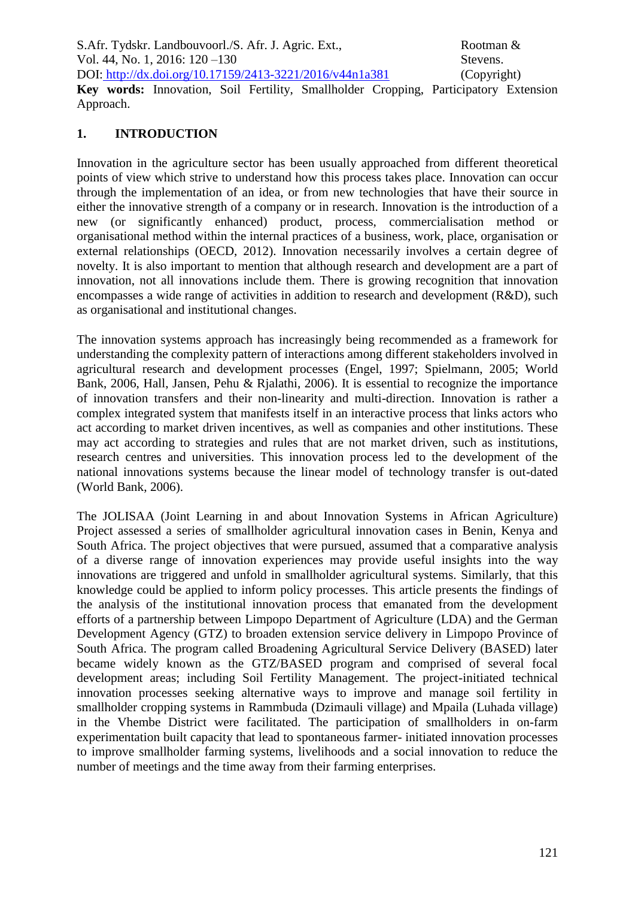S.Afr. Tydskr. Landbouvoorl./S. Afr. J. Agric. Ext., Rootman & Vol. 44, No. 1, 2016: 120 – 130 Stevens. DOI: http://dx.doi.org/10.17159/2413-3221/2016/v44n1a381 (Copyright) **Key words:** Innovation, Soil Fertility, Smallholder Cropping, Participatory Extension

#### **1. INTRODUCTION**

Approach.

Innovation in the agriculture sector has been usually approached from different theoretical points of view which strive to understand how this process takes place. Innovation can occur through the implementation of an idea, or from new technologies that have their source in either the innovative strength of a company or in research. Innovation is the introduction of a new (or significantly enhanced) product, process, commercialisation method or organisational method within the internal practices of a business, work, place, organisation or external relationships (OECD, 2012). Innovation necessarily involves a certain degree of novelty. It is also important to mention that although research and development are a part of innovation, not all innovations include them. There is growing recognition that innovation encompasses a wide range of activities in addition to research and development (R&D), such as organisational and institutional changes.

The innovation systems approach has increasingly being recommended as a framework for understanding the complexity pattern of interactions among different stakeholders involved in agricultural research and development processes (Engel, 1997; Spielmann, 2005; World Bank, 2006, Hall, Jansen, Pehu & Rjalathi, 2006). It is essential to recognize the importance of innovation transfers and their non-linearity and multi-direction. Innovation is rather a complex integrated system that manifests itself in an interactive process that links actors who act according to market driven incentives, as well as companies and other institutions. These may act according to strategies and rules that are not market driven, such as institutions, research centres and universities. This innovation process led to the development of the national innovations systems because the linear model of technology transfer is out-dated (World Bank, 2006).

The JOLISAA (Joint Learning in and about Innovation Systems in African Agriculture) Project assessed a series of smallholder agricultural innovation cases in Benin, Kenya and South Africa. The project objectives that were pursued, assumed that a comparative analysis of a diverse range of innovation experiences may provide useful insights into the way innovations are triggered and unfold in smallholder agricultural systems. Similarly, that this knowledge could be applied to inform policy processes. This article presents the findings of the analysis of the institutional innovation process that emanated from the development efforts of a partnership between Limpopo Department of Agriculture (LDA) and the German Development Agency (GTZ) to broaden extension service delivery in Limpopo Province of South Africa. The program called Broadening Agricultural Service Delivery (BASED) later became widely known as the GTZ/BASED program and comprised of several focal development areas; including Soil Fertility Management. The project-initiated technical innovation processes seeking alternative ways to improve and manage soil fertility in smallholder cropping systems in Rammbuda (Dzimauli village) and Mpaila (Luhada village) in the Vhembe District were facilitated. The participation of smallholders in on-farm experimentation built capacity that lead to spontaneous farmer- initiated innovation processes to improve smallholder farming systems, livelihoods and a social innovation to reduce the number of meetings and the time away from their farming enterprises.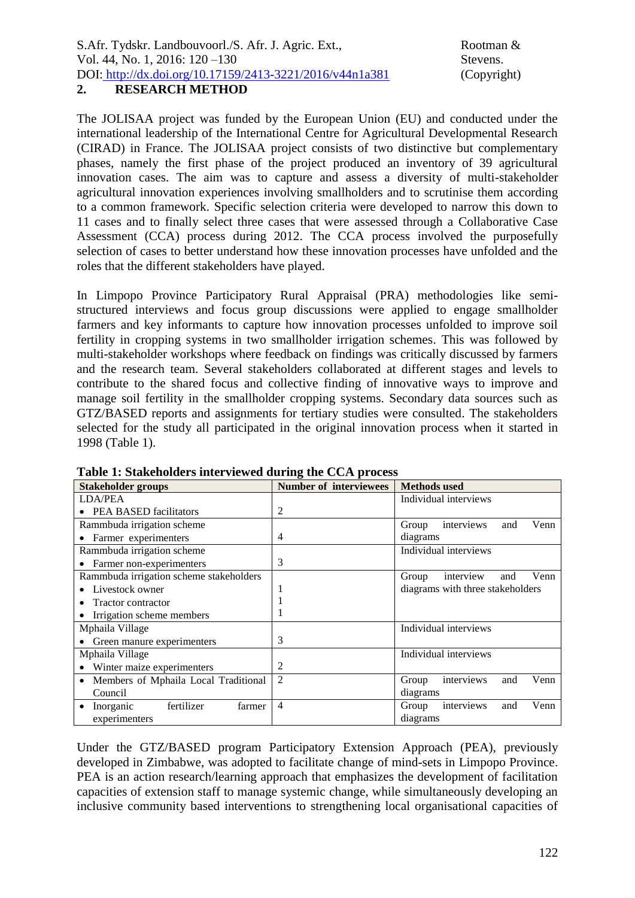# The JOLISAA project was funded by the European Union (EU) and conducted under the international leadership of the International Centre for Agricultural Developmental Research

(CIRAD) in France. The JOLISAA project consists of two distinctive but complementary phases, namely the first phase of the project produced an inventory of 39 agricultural innovation cases. The aim was to capture and assess a diversity of multi-stakeholder agricultural innovation experiences involving smallholders and to scrutinise them according to a common framework. Specific selection criteria were developed to narrow this down to 11 cases and to finally select three cases that were assessed through a Collaborative Case Assessment (CCA) process during 2012. The CCA process involved the purposefully selection of cases to better understand how these innovation processes have unfolded and the roles that the different stakeholders have played.

In Limpopo Province Participatory Rural Appraisal (PRA) methodologies like semistructured interviews and focus group discussions were applied to engage smallholder farmers and key informants to capture how innovation processes unfolded to improve soil fertility in cropping systems in two smallholder irrigation schemes. This was followed by multi-stakeholder workshops where feedback on findings was critically discussed by farmers and the research team. Several stakeholders collaborated at different stages and levels to contribute to the shared focus and collective finding of innovative ways to improve and manage soil fertility in the smallholder cropping systems. Secondary data sources such as GTZ/BASED reports and assignments for tertiary studies were consulted. The stakeholders selected for the study all participated in the original innovation process when it started in 1998 (Table 1).

| <b>Stakeholder groups</b>               | <b>Number of interviewees</b> | <b>Methods</b> used                |
|-----------------------------------------|-------------------------------|------------------------------------|
| <b>LDA/PEA</b>                          |                               | Individual interviews              |
| • PEA BASED facilitators                | 2                             |                                    |
| Rammbuda irrigation scheme              |                               | interviews<br>Venn<br>Group<br>and |
| Farmer experimenters                    | 4                             | diagrams                           |
| Rammbuda irrigation scheme              |                               | Individual interviews              |
| • Farmer non-experimenters              | 3                             |                                    |
| Rammbuda irrigation scheme stakeholders |                               | Venn<br>Group<br>interview<br>and  |
| Livestock owner                         |                               | diagrams with three stakeholders   |
| Tractor contractor                      |                               |                                    |
| • Irrigation scheme members             |                               |                                    |
| Mphaila Village                         |                               | Individual interviews              |
| • Green manure experimenters            | 3                             |                                    |
| Mphaila Village                         |                               | Individual interviews              |
| Winter maize experimenters              | 2                             |                                    |
| Members of Mphaila Local Traditional    | $\overline{2}$                | interviews<br>Venn<br>Group<br>and |
| Council                                 |                               | diagrams                           |
| fertilizer<br>Inorganic<br>farmer       | $\overline{4}$                | interviews<br>Venn<br>Group<br>and |
| experimenters                           |                               | diagrams                           |

**Table 1: Stakeholders interviewed during the CCA process**

Under the GTZ/BASED program Participatory Extension Approach (PEA), previously developed in Zimbabwe, was adopted to facilitate change of mind-sets in Limpopo Province. PEA is an action research/learning approach that emphasizes the development of facilitation capacities of extension staff to manage systemic change, while simultaneously developing an inclusive community based interventions to strengthening local organisational capacities of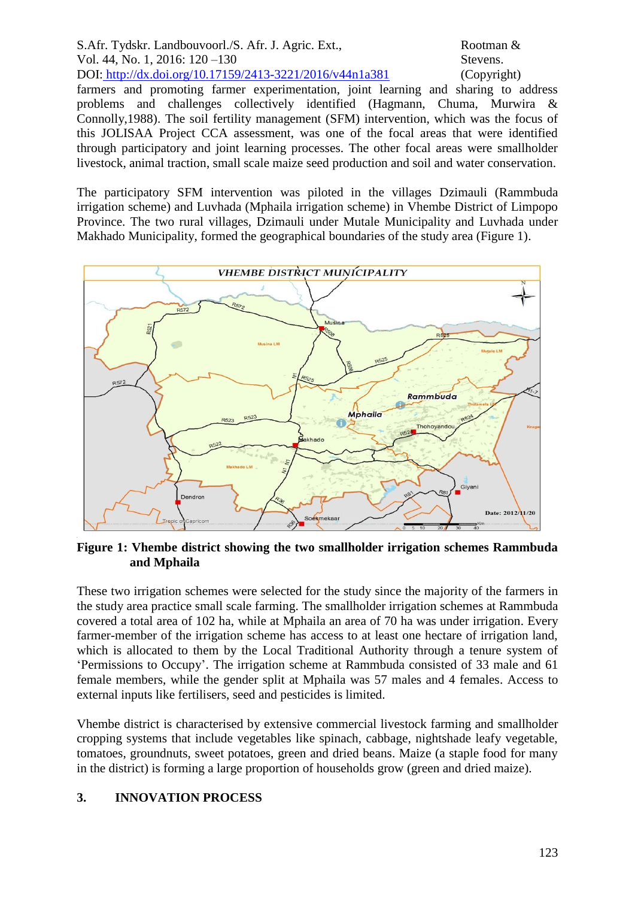S.Afr. Tydskr. Landbouvoorl./S. Afr. J. Agric. Ext., Rootman & Vol. 44, No. 1, 2016: 120 – 130 Stevens. DOI: http://dx.doi.org/10.17159/2413-3221/2016/v44n1a381 (Copyright) farmers and promoting farmer experimentation, joint learning and sharing to address problems and challenges collectively identified (Hagmann, Chuma, Murwira & Connolly,1988). The soil fertility management (SFM) intervention, which was the focus of this JOLISAA Project CCA assessment, was one of the focal areas that were identified through participatory and joint learning processes. The other focal areas were smallholder livestock, animal traction, small scale maize seed production and soil and water conservation.

The participatory SFM intervention was piloted in the villages Dzimauli (Rammbuda irrigation scheme) and Luvhada (Mphaila irrigation scheme) in Vhembe District of Limpopo Province. The two rural villages, Dzimauli under Mutale Municipality and Luvhada under Makhado Municipality, formed the geographical boundaries of the study area (Figure 1).



**Figure 1: Vhembe district showing the two smallholder irrigation schemes Rammbuda and Mphaila**

These two irrigation schemes were selected for the study since the majority of the farmers in the study area practice small scale farming. The smallholder irrigation schemes at Rammbuda covered a total area of 102 ha, while at Mphaila an area of 70 ha was under irrigation. Every farmer-member of the irrigation scheme has access to at least one hectare of irrigation land, which is allocated to them by the Local Traditional Authority through a tenure system of 'Permissions to Occupy'. The irrigation scheme at Rammbuda consisted of 33 male and 61 female members, while the gender split at Mphaila was 57 males and 4 females. Access to external inputs like fertilisers, seed and pesticides is limited.

Vhembe district is characterised by extensive commercial livestock farming and smallholder cropping systems that include vegetables like spinach, cabbage, nightshade leafy vegetable, tomatoes, groundnuts, sweet potatoes, green and dried beans. Maize (a staple food for many in the district) is forming a large proportion of households grow (green and dried maize).

#### **3. INNOVATION PROCESS**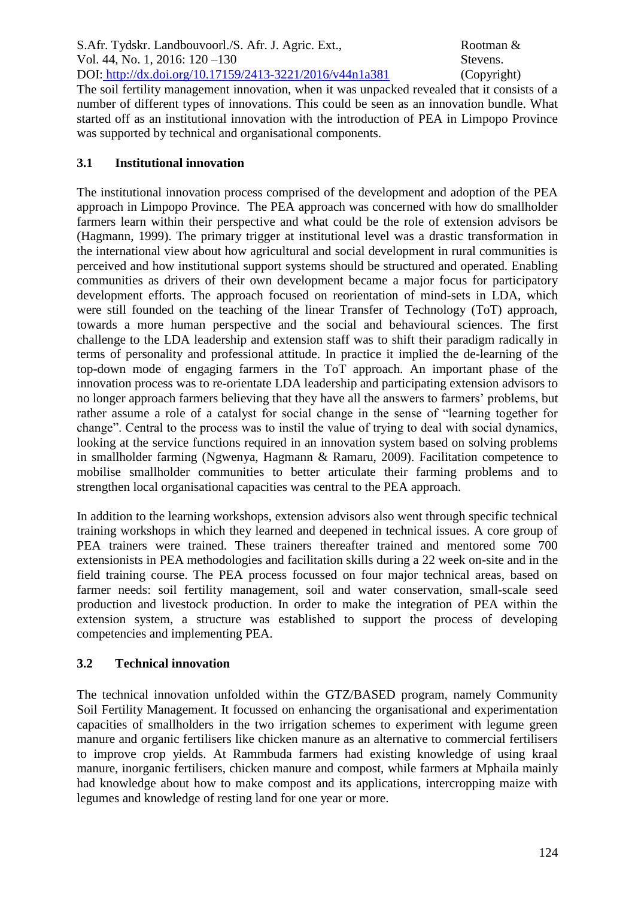S.Afr. Tydskr. Landbouvoorl./S. Afr. J. Agric. Ext., Rootman & Vol. 44, No. 1, 2016: 120 – 130 Stevens. DOI: http://dx.doi.org/10.17159/2413-3221/2016/v44n1a381 (Copyright)

The soil fertility management innovation, when it was unpacked revealed that it consists of a number of different types of innovations. This could be seen as an innovation bundle. What started off as an institutional innovation with the introduction of PEA in Limpopo Province was supported by technical and organisational components.

## **3.1 Institutional innovation**

The institutional innovation process comprised of the development and adoption of the PEA approach in Limpopo Province. The PEA approach was concerned with how do smallholder farmers learn within their perspective and what could be the role of extension advisors be (Hagmann, 1999). The primary trigger at institutional level was a drastic transformation in the international view about how agricultural and social development in rural communities is perceived and how institutional support systems should be structured and operated. Enabling communities as drivers of their own development became a major focus for participatory development efforts. The approach focused on reorientation of mind-sets in LDA, which were still founded on the teaching of the linear Transfer of Technology (ToT) approach, towards a more human perspective and the social and behavioural sciences. The first challenge to the LDA leadership and extension staff was to shift their paradigm radically in terms of personality and professional attitude. In practice it implied the de-learning of the top-down mode of engaging farmers in the ToT approach. An important phase of the innovation process was to re-orientate LDA leadership and participating extension advisors to no longer approach farmers believing that they have all the answers to farmers' problems, but rather assume a role of a catalyst for social change in the sense of "learning together for change". Central to the process was to instil the value of trying to deal with social dynamics, looking at the service functions required in an innovation system based on solving problems in smallholder farming (Ngwenya, Hagmann & Ramaru, 2009). Facilitation competence to mobilise smallholder communities to better articulate their farming problems and to strengthen local organisational capacities was central to the PEA approach.

In addition to the learning workshops, extension advisors also went through specific technical training workshops in which they learned and deepened in technical issues. A core group of PEA trainers were trained. These trainers thereafter trained and mentored some 700 extensionists in PEA methodologies and facilitation skills during a 22 week on-site and in the field training course. The PEA process focussed on four major technical areas, based on farmer needs: soil fertility management, soil and water conservation, small-scale seed production and livestock production. In order to make the integration of PEA within the extension system, a structure was established to support the process of developing competencies and implementing PEA.

## **3.2 Technical innovation**

The technical innovation unfolded within the GTZ/BASED program, namely Community Soil Fertility Management. It focussed on enhancing the organisational and experimentation capacities of smallholders in the two irrigation schemes to experiment with legume green manure and organic fertilisers like chicken manure as an alternative to commercial fertilisers to improve crop yields. At Rammbuda farmers had existing knowledge of using kraal manure, inorganic fertilisers, chicken manure and compost, while farmers at Mphaila mainly had knowledge about how to make compost and its applications, intercropping maize with legumes and knowledge of resting land for one year or more.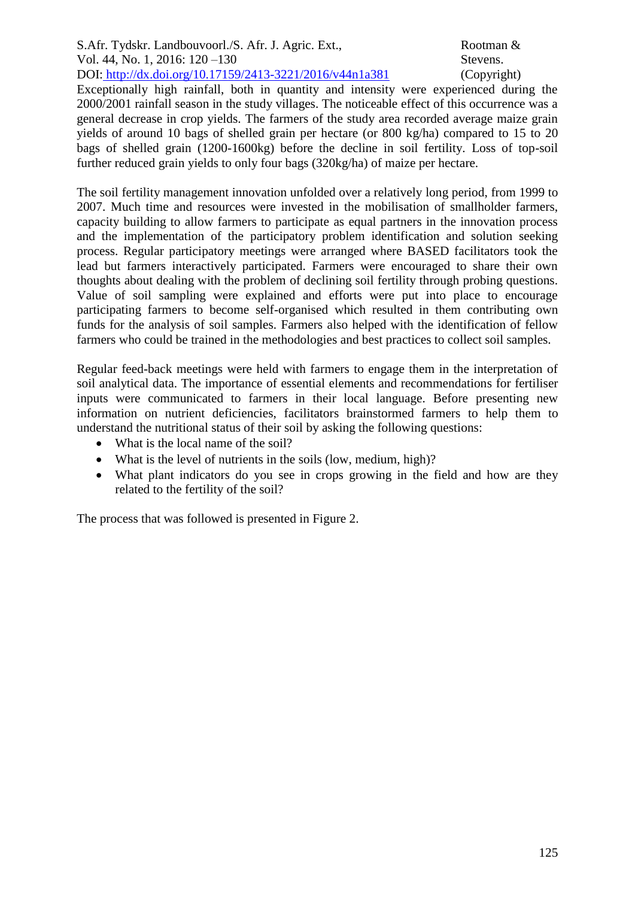S.Afr. Tydskr. Landbouvoorl./S. Afr. J. Agric. Ext., Rootman & Vol. 44, No. 1, 2016: 120 – 130 Stevens. DOI: http://dx.doi.org/10.17159/2413-3221/2016/v44n1a381 (Copyright)

Exceptionally high rainfall, both in quantity and intensity were experienced during the 2000/2001 rainfall season in the study villages. The noticeable effect of this occurrence was a general decrease in crop yields. The farmers of the study area recorded average maize grain yields of around 10 bags of shelled grain per hectare (or 800 kg/ha) compared to 15 to 20 bags of shelled grain (1200-1600kg) before the decline in soil fertility. Loss of top-soil further reduced grain yields to only four bags (320kg/ha) of maize per hectare.

The soil fertility management innovation unfolded over a relatively long period, from 1999 to 2007. Much time and resources were invested in the mobilisation of smallholder farmers, capacity building to allow farmers to participate as equal partners in the innovation process and the implementation of the participatory problem identification and solution seeking process. Regular participatory meetings were arranged where BASED facilitators took the lead but farmers interactively participated. Farmers were encouraged to share their own thoughts about dealing with the problem of declining soil fertility through probing questions. Value of soil sampling were explained and efforts were put into place to encourage participating farmers to become self-organised which resulted in them contributing own funds for the analysis of soil samples. Farmers also helped with the identification of fellow farmers who could be trained in the methodologies and best practices to collect soil samples.

Regular feed-back meetings were held with farmers to engage them in the interpretation of soil analytical data. The importance of essential elements and recommendations for fertiliser inputs were communicated to farmers in their local language. Before presenting new information on nutrient deficiencies, facilitators brainstormed farmers to help them to understand the nutritional status of their soil by asking the following questions:

- What is the local name of the soil?
- What is the level of nutrients in the soils (low, medium, high)?
- What plant indicators do you see in crops growing in the field and how are they related to the fertility of the soil?

The process that was followed is presented in Figure 2.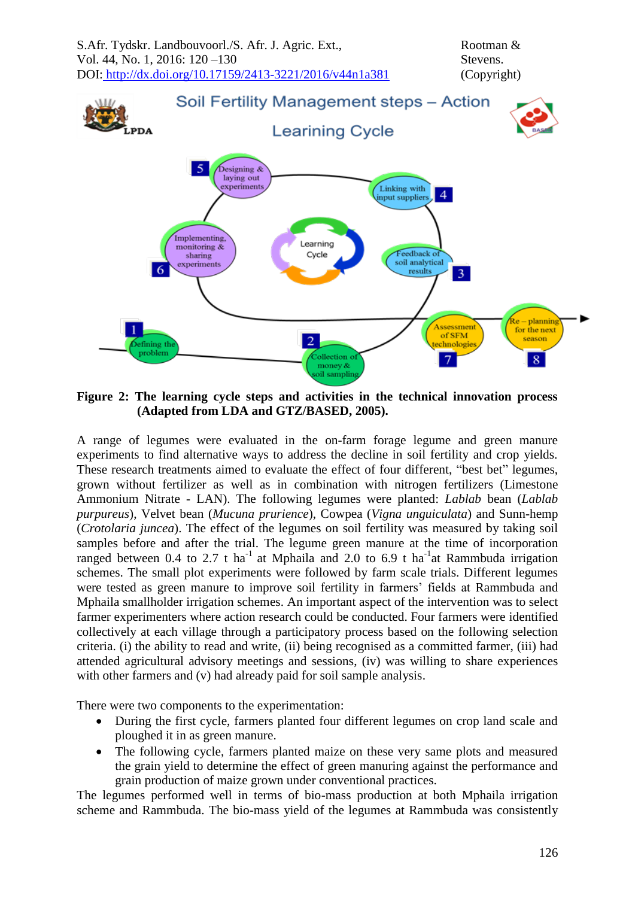

**Figure 2: The learning cycle steps and activities in the technical innovation process (Adapted from LDA and GTZ/BASED, 2005).**

A range of legumes were evaluated in the on-farm forage legume and green manure experiments to find alternative ways to address the decline in soil fertility and crop yields. These research treatments aimed to evaluate the effect of four different, "best bet" legumes, grown without fertilizer as well as in combination with nitrogen fertilizers (Limestone Ammonium Nitrate - LAN). The following legumes were planted: *Lablab* bean (*Lablab purpureus*), Velvet bean (*Mucuna prurience*), Cowpea (*Vigna unguiculata*) and Sunn-hemp (*Crotolaria juncea*). The effect of the legumes on soil fertility was measured by taking soil samples before and after the trial. The legume green manure at the time of incorporation ranged between 0.4 to 2.7 t ha<sup>-1</sup> at Mphaila and 2.0 to 6.9 t ha<sup>-1</sup> at Rammbuda irrigation schemes. The small plot experiments were followed by farm scale trials. Different legumes were tested as green manure to improve soil fertility in farmers' fields at Rammbuda and Mphaila smallholder irrigation schemes. An important aspect of the intervention was to select farmer experimenters where action research could be conducted. Four farmers were identified collectively at each village through a participatory process based on the following selection criteria. (i) the ability to read and write, (ii) being recognised as a committed farmer, (iii) had attended agricultural advisory meetings and sessions, (iv) was willing to share experiences with other farmers and (v) had already paid for soil sample analysis.

There were two components to the experimentation:

- During the first cycle, farmers planted four different legumes on crop land scale and ploughed it in as green manure.
- The following cycle, farmers planted maize on these very same plots and measured the grain yield to determine the effect of green manuring against the performance and grain production of maize grown under conventional practices.

The legumes performed well in terms of bio-mass production at both Mphaila irrigation scheme and Rammbuda. The bio-mass yield of the legumes at Rammbuda was consistently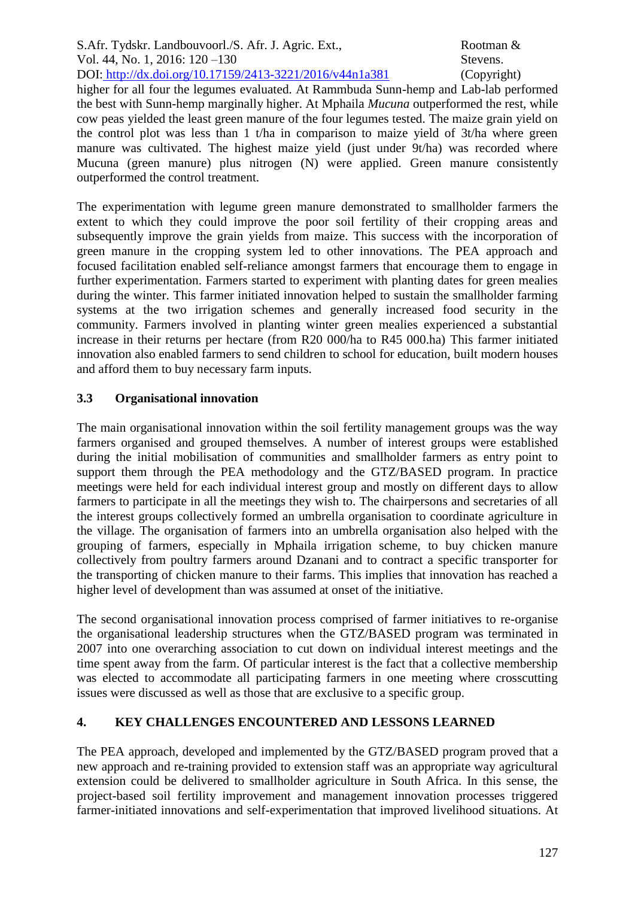S.Afr. Tydskr. Landbouvoorl./S. Afr. J. Agric. Ext., Rootman & Vol. 44, No. 1, 2016: 120 – 130 Stevens. DOI: http://dx.doi.org/10.17159/2413-3221/2016/v44n1a381 (Copyright)

higher for all four the legumes evaluated. At Rammbuda Sunn-hemp and Lab-lab performed the best with Sunn-hemp marginally higher. At Mphaila *Mucuna* outperformed the rest, while cow peas yielded the least green manure of the four legumes tested. The maize grain yield on the control plot was less than 1 t/ha in comparison to maize yield of 3t/ha where green manure was cultivated. The highest maize yield (just under 9t/ha) was recorded where Mucuna (green manure) plus nitrogen (N) were applied. Green manure consistently outperformed the control treatment.

The experimentation with legume green manure demonstrated to smallholder farmers the extent to which they could improve the poor soil fertility of their cropping areas and subsequently improve the grain yields from maize. This success with the incorporation of green manure in the cropping system led to other innovations. The PEA approach and focused facilitation enabled self-reliance amongst farmers that encourage them to engage in further experimentation. Farmers started to experiment with planting dates for green mealies during the winter. This farmer initiated innovation helped to sustain the smallholder farming systems at the two irrigation schemes and generally increased food security in the community. Farmers involved in planting winter green mealies experienced a substantial increase in their returns per hectare (from R20 000/ha to R45 000.ha) This farmer initiated innovation also enabled farmers to send children to school for education, built modern houses and afford them to buy necessary farm inputs.

## **3.3 Organisational innovation**

The main organisational innovation within the soil fertility management groups was the way farmers organised and grouped themselves. A number of interest groups were established during the initial mobilisation of communities and smallholder farmers as entry point to support them through the PEA methodology and the GTZ/BASED program. In practice meetings were held for each individual interest group and mostly on different days to allow farmers to participate in all the meetings they wish to. The chairpersons and secretaries of all the interest groups collectively formed an umbrella organisation to coordinate agriculture in the village. The organisation of farmers into an umbrella organisation also helped with the grouping of farmers, especially in Mphaila irrigation scheme, to buy chicken manure collectively from poultry farmers around Dzanani and to contract a specific transporter for the transporting of chicken manure to their farms. This implies that innovation has reached a higher level of development than was assumed at onset of the initiative.

The second organisational innovation process comprised of farmer initiatives to re-organise the organisational leadership structures when the GTZ/BASED program was terminated in 2007 into one overarching association to cut down on individual interest meetings and the time spent away from the farm. Of particular interest is the fact that a collective membership was elected to accommodate all participating farmers in one meeting where crosscutting issues were discussed as well as those that are exclusive to a specific group.

## **4. KEY CHALLENGES ENCOUNTERED AND LESSONS LEARNED**

The PEA approach, developed and implemented by the GTZ/BASED program proved that a new approach and re-training provided to extension staff was an appropriate way agricultural extension could be delivered to smallholder agriculture in South Africa. In this sense, the project-based soil fertility improvement and management innovation processes triggered farmer-initiated innovations and self-experimentation that improved livelihood situations. At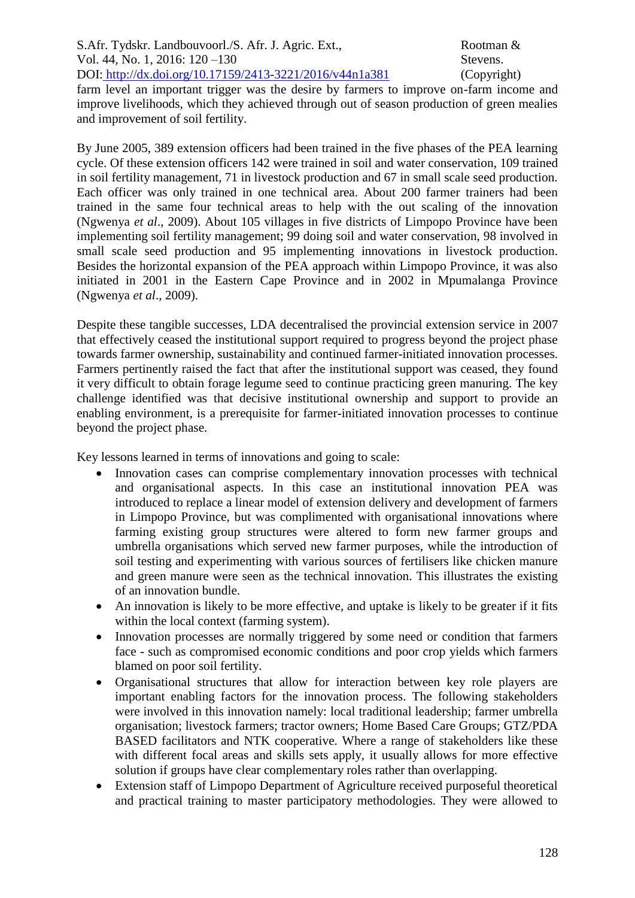farm level an important trigger was the desire by farmers to improve on-farm income and improve livelihoods, which they achieved through out of season production of green mealies and improvement of soil fertility.

By June 2005, 389 extension officers had been trained in the five phases of the PEA learning cycle. Of these extension officers 142 were trained in soil and water conservation, 109 trained in soil fertility management, 71 in livestock production and 67 in small scale seed production. Each officer was only trained in one technical area. About 200 farmer trainers had been trained in the same four technical areas to help with the out scaling of the innovation (Ngwenya *et al*., 2009). About 105 villages in five districts of Limpopo Province have been implementing soil fertility management; 99 doing soil and water conservation, 98 involved in small scale seed production and 95 implementing innovations in livestock production. Besides the horizontal expansion of the PEA approach within Limpopo Province, it was also initiated in 2001 in the Eastern Cape Province and in 2002 in Mpumalanga Province (Ngwenya *et al*., 2009).

Despite these tangible successes, LDA decentralised the provincial extension service in 2007 that effectively ceased the institutional support required to progress beyond the project phase towards farmer ownership, sustainability and continued farmer-initiated innovation processes. Farmers pertinently raised the fact that after the institutional support was ceased, they found it very difficult to obtain forage legume seed to continue practicing green manuring. The key challenge identified was that decisive institutional ownership and support to provide an enabling environment, is a prerequisite for farmer-initiated innovation processes to continue beyond the project phase.

Key lessons learned in terms of innovations and going to scale:

- Innovation cases can comprise complementary innovation processes with technical and organisational aspects. In this case an institutional innovation PEA was introduced to replace a linear model of extension delivery and development of farmers in Limpopo Province, but was complimented with organisational innovations where farming existing group structures were altered to form new farmer groups and umbrella organisations which served new farmer purposes, while the introduction of soil testing and experimenting with various sources of fertilisers like chicken manure and green manure were seen as the technical innovation. This illustrates the existing of an innovation bundle.
- An innovation is likely to be more effective, and uptake is likely to be greater if it fits within the local context (farming system).
- Innovation processes are normally triggered by some need or condition that farmers face - such as compromised economic conditions and poor crop yields which farmers blamed on poor soil fertility.
- Organisational structures that allow for interaction between key role players are important enabling factors for the innovation process. The following stakeholders were involved in this innovation namely: local traditional leadership; farmer umbrella organisation; livestock farmers; tractor owners; Home Based Care Groups; GTZ/PDA BASED facilitators and NTK cooperative. Where a range of stakeholders like these with different focal areas and skills sets apply, it usually allows for more effective solution if groups have clear complementary roles rather than overlapping.
- Extension staff of Limpopo Department of Agriculture received purposeful theoretical and practical training to master participatory methodologies. They were allowed to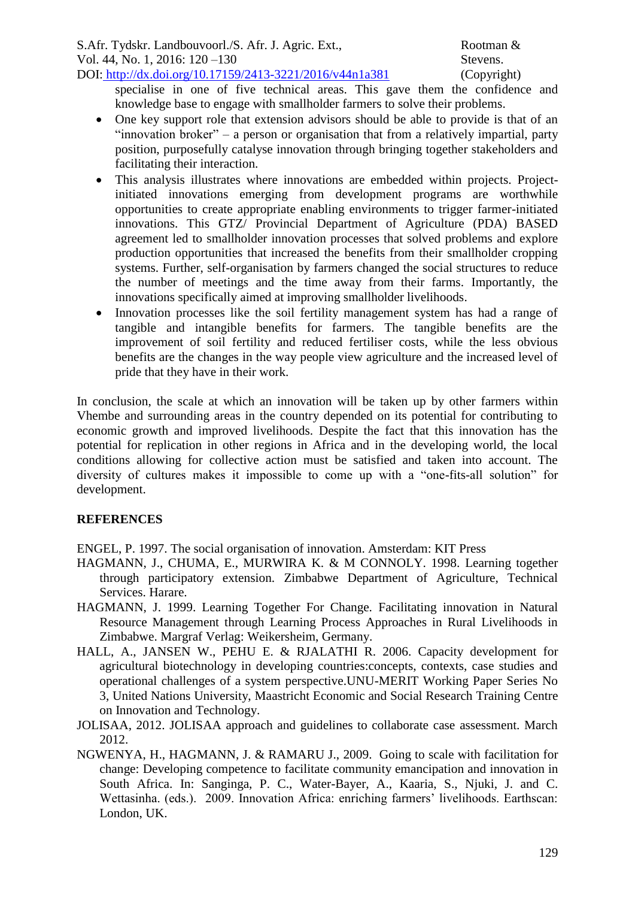specialise in one of five technical areas. This gave them the confidence and knowledge base to engage with smallholder farmers to solve their problems.

- One key support role that extension advisors should be able to provide is that of an "innovation broker" – a person or organisation that from a relatively impartial, party position, purposefully catalyse innovation through bringing together stakeholders and facilitating their interaction.
- This analysis illustrates where innovations are embedded within projects. Projectinitiated innovations emerging from development programs are worthwhile opportunities to create appropriate enabling environments to trigger farmer-initiated innovations. This GTZ/ Provincial Department of Agriculture (PDA) BASED agreement led to smallholder innovation processes that solved problems and explore production opportunities that increased the benefits from their smallholder cropping systems. Further, self-organisation by farmers changed the social structures to reduce the number of meetings and the time away from their farms. Importantly, the innovations specifically aimed at improving smallholder livelihoods.
- Innovation processes like the soil fertility management system has had a range of tangible and intangible benefits for farmers. The tangible benefits are the improvement of soil fertility and reduced fertiliser costs, while the less obvious benefits are the changes in the way people view agriculture and the increased level of pride that they have in their work.

In conclusion, the scale at which an innovation will be taken up by other farmers within Vhembe and surrounding areas in the country depended on its potential for contributing to economic growth and improved livelihoods. Despite the fact that this innovation has the potential for replication in other regions in Africa and in the developing world, the local conditions allowing for collective action must be satisfied and taken into account. The diversity of cultures makes it impossible to come up with a "one-fits-all solution" for development.

## **REFERENCES**

ENGEL, P. 1997. The social organisation of innovation. Amsterdam: KIT Press

- HAGMANN, J., CHUMA, E., MURWIRA K. & M CONNOLY. 1998. Learning together through participatory extension. Zimbabwe Department of Agriculture, Technical Services. Harare.
- HAGMANN, J. 1999. Learning Together For Change. Facilitating innovation in Natural Resource Management through Learning Process Approaches in Rural Livelihoods in Zimbabwe. Margraf Verlag: Weikersheim, Germany.
- HALL, A., JANSEN W., PEHU E. & RJALATHI R. 2006. Capacity development for agricultural biotechnology in developing countries:concepts, contexts, case studies and operational challenges of a system perspective.UNU-MERIT Working Paper Series No 3, United Nations University, Maastricht Economic and Social Research Training Centre on Innovation and Technology.
- JOLISAA, 2012. JOLISAA approach and guidelines to collaborate case assessment. March 2012.
- NGWENYA, H., HAGMANN, J. & RAMARU J., 2009. Going to scale with facilitation for change: Developing competence to facilitate community emancipation and innovation in South Africa. In: Sanginga, P. C., Water-Bayer, A., Kaaria, S., Njuki, J. and C. Wettasinha. (eds.). 2009. Innovation Africa: enriching farmers' livelihoods. Earthscan: London, UK.